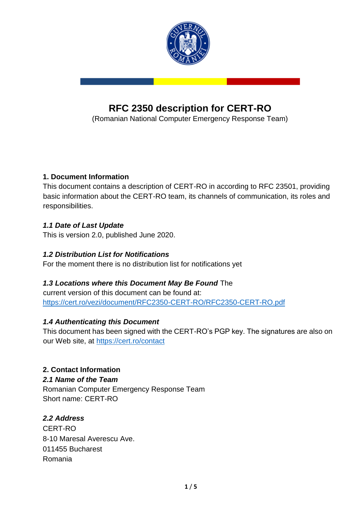

# **RFC 2350 description for CERT-RO**

(Romanian National Computer Emergency Response Team)

## **1. Document Information**

This document contains a description of CERT-RO in according to RFC 23501, providing basic information about the CERT-RO team, its channels of communication, its roles and responsibilities.

#### *1.1 Date of Last Update*

This is version 2.0, published June 2020.

#### *1.2 Distribution List for Notifications*

For the moment there is no distribution list for notifications yet

## *1.3 Locations where this Document May Be Found* The

current version of this document can be found at: https://cert.ro/vezi/document/RFC2350-CERT-RO/RFC2350-CERT-RO.pdf

## *1.4 Authenticating this Document*

This document has been signed with the CERT-RO's PGP key. The signatures are also on our Web site, at<https://cert.ro/contact>

## **2. Contact Information**

#### *2.1 Name of the Team*

Romanian Computer Emergency Response Team Short name: CERT-RO

## *2.2 Address*

CERT-RO 8-10 Maresal Averescu Ave. 011455 Bucharest Romania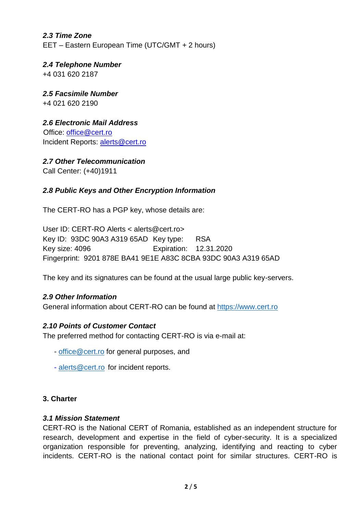# *2.3 Time Zone*  EET – Eastern European Time (UTC/GMT + 2 hours)

*2.4 Telephone Number*  +4 031 620 2187

*2.5 Facsimile Number*  +4 021 620 2190

*2.6 Electronic Mail Address*  Office: office@cert.ro Incident Reports: alerts@cert.ro

*2.7 Other Telecommunication*

Call Center: (+40)1911

# *2.8 Public Keys and Other Encryption Information*

The CERT-RO has a PGP key, whose details are:

User ID: CERT-RO Alerts < alerts@cert.ro> Key ID: 93DC 90A3 A319 65AD Key type: RSA Key size: 4096 Expiration: 12.31.2020 Fingerprint: 9201 878E BA41 9E1E A83C 8CBA 93DC 90A3 A319 65AD

The key and its signatures can be found at the usual large public key-servers.

## *2.9 Other Information*

General information about CERT-RO can be found at [https://www.cert.ro](https://www.cert.ro/)

## *2.10 Points of Customer Contact*

The preferred method for contacting CERT-RO is via e-mail at:

- [office@cert.ro](mailto:office@cert.ro) for general purposes, and
- [alerts@cert.ro](mailto:alerts@cert.ro) for incident reports.

#### **3. Charter**

#### *3.1 Mission Statement*

CERT-RO is the National CERT of Romania, established as an independent structure for research, development and expertise in the field of cyber-security. It is a specialized organization responsible for preventing, analyzing, identifying and reacting to cyber incidents. CERT-RO is the national contact point for similar structures. CERT-RO is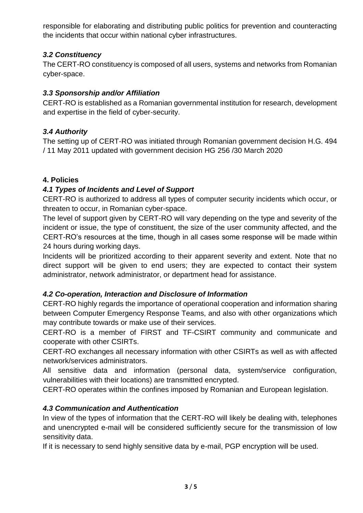responsible for elaborating and distributing public politics for prevention and counteracting the incidents that occur within national cyber infrastructures.

#### *3.2 Constituency*

The CERT-RO constituency is composed of all users, systems and networks from Romanian cyber-space.

#### *3.3 Sponsorship and/or Affiliation*

CERT-RO is established as a Romanian governmental institution for research, development and expertise in the field of cyber-security.

#### *3.4 Authority*

The setting up of CERT-RO was initiated through Romanian government decision H.G. 494 / 11 May 2011 updated with government decision HG 256 /30 March 2020

#### **4. Policies**

#### *4.1 Types of Incidents and Level of Support*

CERT-RO is authorized to address all types of computer security incidents which occur, or threaten to occur, in Romanian cyber-space.

The level of support given by CERT-RO will vary depending on the type and severity of the incident or issue, the type of constituent, the size of the user community affected, and the CERT-RO's resources at the time, though in all cases some response will be made within 24 hours during working days.

Incidents will be prioritized according to their apparent severity and extent. Note that no direct support will be given to end users; they are expected to contact their system administrator, network administrator, or department head for assistance.

#### *4.2 Co-operation, Interaction and Disclosure of Information*

CERT-RO highly regards the importance of operational cooperation and information sharing between Computer Emergency Response Teams, and also with other organizations which may contribute towards or make use of their services.

CERT-RO is a member of FIRST and TF-CSIRT community and communicate and cooperate with other CSIRTs.

CERT-RO exchanges all necessary information with other CSIRTs as well as with affected network/services administrators.

All sensitive data and information (personal data, system/service configuration, vulnerabilities with their locations) are transmitted encrypted.

CERT-RO operates within the confines imposed by Romanian and European legislation.

## *4.3 Communication and Authentication*

In view of the types of information that the CERT-RO will likely be dealing with, telephones and unencrypted e-mail will be considered sufficiently secure for the transmission of low sensitivity data.

If it is necessary to send highly sensitive data by e-mail, PGP encryption will be used.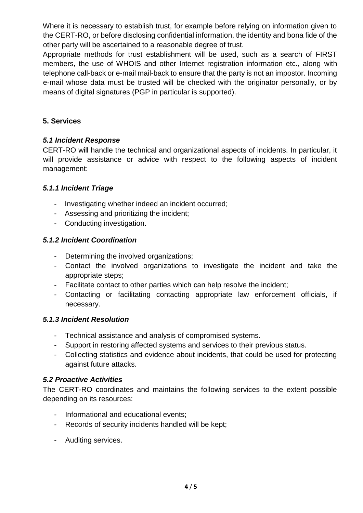Where it is necessary to establish trust, for example before relying on information given to the CERT-RO, or before disclosing confidential information, the identity and bona fide of the other party will be ascertained to a reasonable degree of trust.

Appropriate methods for trust establishment will be used, such as a search of FIRST members, the use of WHOIS and other Internet registration information etc., along with telephone call-back or e-mail mail-back to ensure that the party is not an impostor. Incoming e-mail whose data must be trusted will be checked with the originator personally, or by means of digital signatures (PGP in particular is supported).

#### **5. Services**

#### *5.1 Incident Response*

CERT-RO will handle the technical and organizational aspects of incidents. In particular, it will provide assistance or advice with respect to the following aspects of incident management:

#### *5.1.1 Incident Triage*

- Investigating whether indeed an incident occurred;
- Assessing and prioritizing the incident;
- Conducting investigation.

#### *5.1.2 Incident Coordination*

- Determining the involved organizations;
- Contact the involved organizations to investigate the incident and take the appropriate steps;
- Facilitate contact to other parties which can help resolve the incident;
- Contacting or facilitating contacting appropriate law enforcement officials, if necessary.

#### *5.1.3 Incident Resolution*

- Technical assistance and analysis of compromised systems.
- Support in restoring affected systems and services to their previous status.
- Collecting statistics and evidence about incidents, that could be used for protecting against future attacks.

#### *5.2 Proactive Activities*

The CERT-RO coordinates and maintains the following services to the extent possible depending on its resources:

- Informational and educational events;
- Records of security incidents handled will be kept;
- Auditing services.